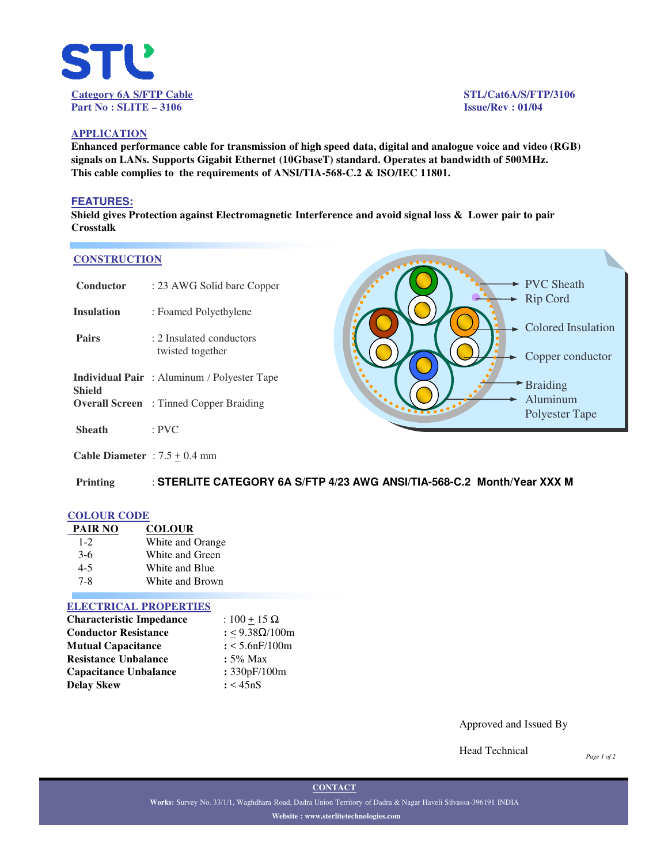

## **APPLICATION**

**Enhanced performance cable for transmission of high speed data, digital and analogue voice and video (RGB) signals on LANs. Supports Gigabit Ethernet (10GbaseT) standard. Operates at bandwidth of 500MHz. This cable complies to the requirements of ANSI/TIA-568-C.2 & ISO/IEC 11801.**

## **FEATURES:**

**Shield gives Protection against Electromagnetic Interference and avoid signal loss & Lower pair to pair Crosstalk**

#### **CONSTRUCTION**

| Conductor         | : 23 AWG Solid bare Copper                         |
|-------------------|----------------------------------------------------|
| <b>Insulation</b> | : Foamed Polyethylene                              |
| <b>Pairs</b>      | : 2 Insulated conductors<br>twisted together       |
| <b>Shield</b>     | <b>Individual Pair</b> : Aluminum / Polyester Tape |
|                   | <b>Overall Screen</b> : Tinned Copper Braiding     |
| <b>Sheath</b>     | $:$ PVC                                            |



**Cable Diameter** :  $7.5 \pm 0.4$  mm

**Printing** : **STERLITE CATEGORY 6A S/FTP 4/23 AWG ANSI/TIA-568-C.2 Month/Year XXX M**

## **COLOUR CODE**

| <b>PAIR NO</b> | <b>COLOUR</b>    |
|----------------|------------------|
| $1 - 2$        | White and Orange |
| $3-6$          | White and Green  |
| $4 - 5$        | White and Blue   |
| 7-8            | White and Brown  |

### **ELECTRICAL PROPERTIES**

| <b>Characteristic Impedance</b> | : $100 + 15 \Omega$ |
|---------------------------------|---------------------|
| <b>Conductor Resistance</b>     | : <9.38Ω/100m       |
| <b>Mutual Capacitance</b>       | $: < 5.6$ nF/100m   |
| <b>Resistance Unbalance</b>     | $: 5\%$ Max         |
| <b>Capacitance Unbalance</b>    | : 330pF/100m        |
| Delay Skew                      | : < 45nS            |

Approved and Issued By

Head Technical

*Page 1 of 2*

**CONTACT**

**Works:** Survey No. 33/1/1, Waghdhara Road, Dadra Union Territory of Dadra & Nagar Haveli Silvassa-396191 INDIA **Website : www.sterlitetechnologies.com**